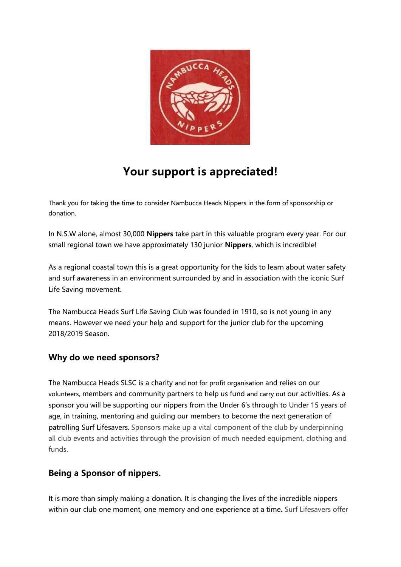

# **Your support is appreciated!**

Thank you for taking the time to consider Nambucca Heads Nippers in the form of sponsorship or donation.

In N.S.W alone, almost 30,000 **Nippers** take part in this valuable program every year. For our small regional town we have approximately 130 junior **Nippers**, which is incredible!

As a regional coastal town this is a great opportunity for the kids to learn about water safety and surf awareness in an environment surrounded by and in association with the iconic Surf Life Saving movement.

The Nambucca Heads Surf Life Saving Club was founded in 1910, so is not young in any means. However we need your help and support for the junior club for the upcoming 2018/2019 Season.

## **Why do we need sponsors?**

The Nambucca Heads SLSC is a charity and not for profit organisation and relies on our volunteers, members and community partners to help us fund and carry out our activities. As a sponsor you will be supporting our nippers from the Under 6's through to Under 15 years of age, in training, mentoring and guiding our members to become the next generation of patrolling Surf Lifesavers. Sponsors make up a vital component of the club by underpinning all club events and activities through the provision of much needed equipment, clothing and funds.

## **Being a Sponsor of nippers.**

It is more than simply making a donation. It is changing the lives of the incredible nippers within our club one moment, one memory and one experience at a time**.** Surf Lifesavers offer